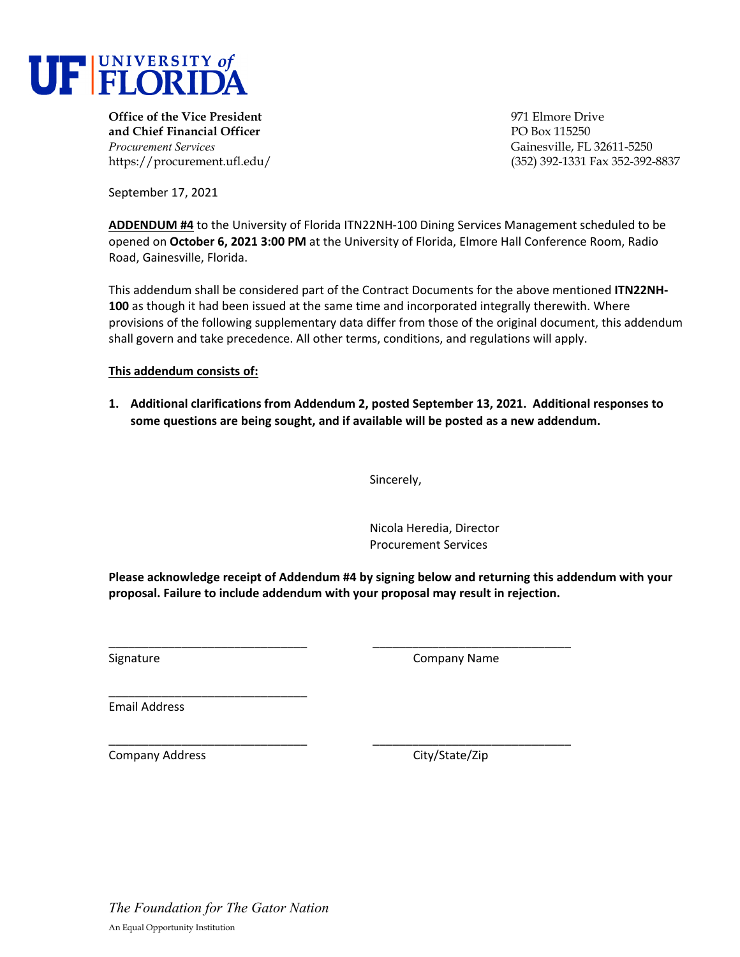

**Office of the Vice President Office of the Vice President Office of the Vice President Office of the Vice President Office of the Vice President Office of the Vice President Office of the Vice President and Chief Financial Officer PO Box 115250** *Procurement Services* Gainesville, FL 32611-5250

https://procurement.ufl.edu/ (352) 392-1331 Fax 352-392-8837

September 17, 2021

**ADDENDUM #4** to the University of Florida ITN22NH‐100 Dining Services Management scheduled to be opened on **October 6, 2021 3:00 PM** at the University of Florida, Elmore Hall Conference Room, Radio Road, Gainesville, Florida.

This addendum shall be considered part of the Contract Documents for the above mentioned **ITN22NH‐ 100** as though it had been issued at the same time and incorporated integrally therewith. Where provisions of the following supplementary data differ from those of the original document, this addendum shall govern and take precedence. All other terms, conditions, and regulations will apply.

**This addendum consists of:** 

**1. Additional clarifications from Addendum 2, posted September 13, 2021. Additional responses to some questions are being sought, and if available will be posted as a new addendum.**

Sincerely,

Nicola Heredia, Director Procurement Services

**Please acknowledge receipt of Addendum #4 by signing below and returning this addendum with your proposal. Failure to include addendum with your proposal may result in rejection.**

\_\_\_\_\_\_\_\_\_\_\_\_\_\_\_\_\_\_\_\_\_\_\_\_\_\_\_\_\_\_ \_\_\_\_\_\_\_\_\_\_\_\_\_\_\_\_\_\_\_\_\_\_\_\_\_\_\_\_\_\_

Signature **Company Name** 

Email Address

\_\_\_\_\_\_\_\_\_\_\_\_\_\_\_\_\_\_\_\_\_\_\_\_\_\_\_\_\_\_ \_\_\_\_\_\_\_\_\_\_\_\_\_\_\_\_\_\_\_\_\_\_\_\_\_\_\_\_\_\_ Company Address 
Company Address

Company City/State/Zip

\_\_\_\_\_\_\_\_\_\_\_\_\_\_\_\_\_\_\_\_\_\_\_\_\_\_\_\_\_\_